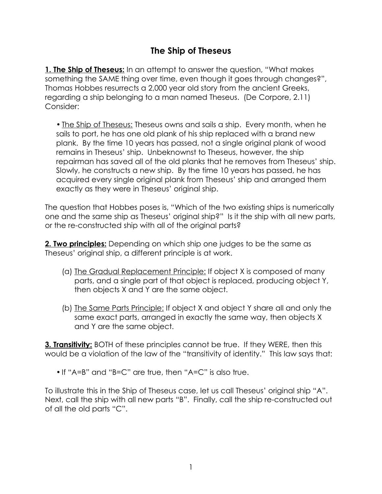## **The Ship of Theseus**

**1. The Ship of Theseus:** In an attempt to answer the question, "What makes something the SAME thing over time, even though it goes through changes?", Thomas Hobbes resurrects a 2,000 year old story from the ancient Greeks, regarding a ship belonging to a man named Theseus. (De Corpore, 2.11) Consider:

• The Ship of Theseus: Theseus owns and sails a ship. Every month, when he sails to port, he has one old plank of his ship replaced with a brand new plank. By the time 10 years has passed, not a single original plank of wood remains in Theseus' ship. Unbeknownst to Theseus, however, the ship repairman has saved all of the old planks that he removes from Theseus' ship. Slowly, he constructs a new ship. By the time 10 years has passed, he has acquired every single original plank from Theseus' ship and arranged them exactly as they were in Theseus' original ship.

The question that Hobbes poses is, "Which of the two existing ships is numerically one and the same ship as Theseus' original ship?" Is it the ship with all new parts, or the re-constructed ship with all of the original parts?

**2. Two principles:** Depending on which ship one judges to be the same as Theseus' original ship, a different principle is at work.

- (a) The Gradual Replacement Principle: If object X is composed of many parts, and a single part of that object is replaced, producing object Y, then objects X and Y are the same object.
- (b) The Same Parts Principle: If object X and object Y share all and only the same exact parts, arranged in exactly the same way, then objects X and Y are the same object.

**3. Transitivity:** BOTH of these principles cannot be true. If they WERE, then this would be a violation of the law of the "transitivity of identity." This law says that:

• If "A=B" and "B=C" are true, then "A=C" is also true.

To illustrate this in the Ship of Theseus case, let us call Theseus' original ship "A". Next, call the ship with all new parts "B". Finally, call the ship re-constructed out of all the old parts "C".